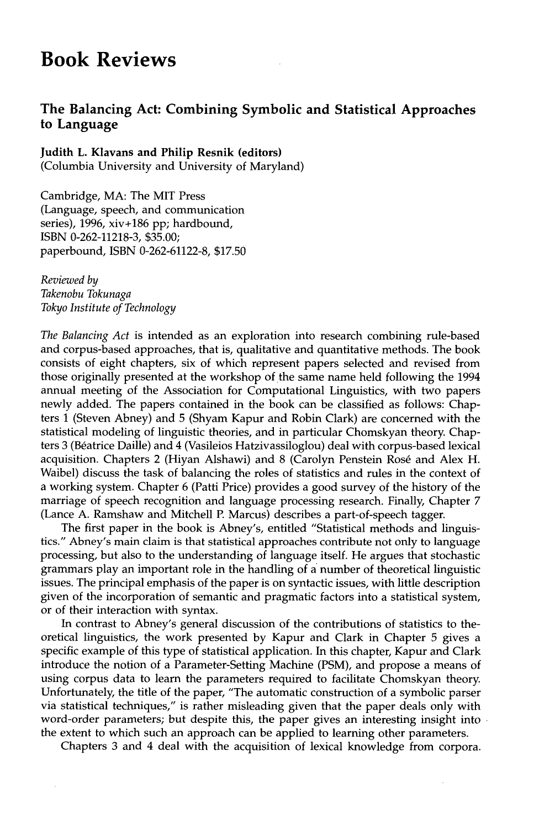## **Book Reviews**

## **The Balancing Act: Combining Symbolic and Statistical Approaches to Language**

## **Judith L. Klavans and Philip Resnik (editors)**

(Columbia University and University of Maryland)

Cambridge, MA: The MIT Press (Language, speech, and communication series), 1996, xiv+186 pp; hardbound, ISBN 0-262-11218-3, \$35.00; paperbound, ISBN 0-262-61122-8, \$17.50

*Reviewed by Takenobu Tokunaga Tokyo Institute of Technology* 

*The Balancing Act* is intended as an exploration into research combining rule-based and corpus-based approaches, that is, qualitative and quantitative methods. The book consists of eight chapters, six of which represent papers selected and revised from those originally presented at the workshop of the same name held following the 1994 annual meeting of the Association for Computational Linguistics, with two papers newly added. The papers contained in the book can be classified as follows: Chapters 1 (Steven Abney) and 5 (Shyam Kapur and Robin Clark) are concerned with the statistical modeling of linguistic theories, and in particular Chomskyan theory. Chapters 3 (B6atrice Daille) and 4 (Vasileios Hatzivassiloglou) deal with corpus-based lexical acquisition. Chapters 2 (Hiyan Alshawi) and 8 (Carolyn Penstein Rosé and Alex H. Waibel) discuss the task of balancing the roles of statistics and rules in the context of a working system. Chapter 6 (Patti Price) provides a good survey of the history of the marriage of speech recognition and language processing research. Finally, Chapter 7 (Lance A. Ramshaw and Mitchell P. Marcus) describes a part-of-speech tagger.

The first paper in the book is Abney's, entitled "Statistical methods and linguistics." Abney's main claim is that statistical approaches contribute not only to language processing, but also to the understanding of language itself. He argues that stochastic grammars play an important role in the handling of a number of theoretical linguistic issues. The principal emphasis of the paper is on syntactic issues, with little description given of the incorporation of semantic and pragmatic factors into a statistical system, or of their interaction with syntax.

In contrast to Abney's general discussion of the contributions of statistics to theoretical linguistics, the work presented by Kapur and Clark in Chapter 5 gives a specific example of this type of statistical application. In this chapter, Kapur and Clark introduce the notion of a Parameter-Setting Machine (PSM), and propose a means of using corpus data to learn the parameters required to facilitate Chomskyan theory. Unfortunately, the title of the paper, "The automatic construction of a symbolic parser via statistical techniques," is rather misleading given that the paper deals only with word-order parameters; but despite this, the paper gives an interesting insight into the extent to which such an approach can be applied to learning other parameters.

Chapters 3 and 4 deal with the acquisition of lexical knowledge from corpora.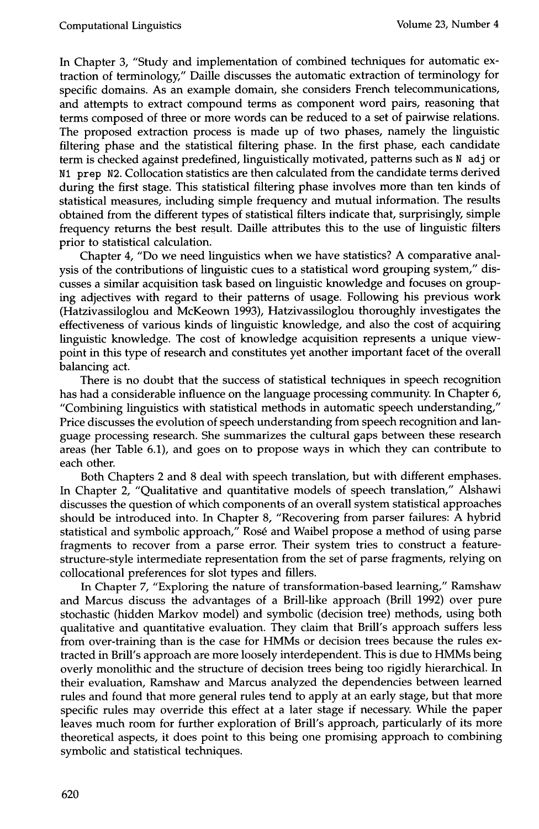In Chapter 3, "Study and implementation of combined techniques for automatic extraction of terminology," Daille discusses the automatic extraction of terminology for specific domains. As an example domain, she considers French telecommunications, and attempts to extract compound terms as component word pairs, reasoning that terms composed of three or more words can be reduced to a set of pairwise relations. The proposed extraction process is made up of two phases, namely the linguistic filtering phase and the statistical filtering phase. In the first phase, each candidate term is checked against predefined, linguistically motivated, patterns such as N adj or N1 prep N2. Collocation statistics are then calculated from the candidate terms derived during the first stage. This statistical filtering phase involves more than ten kinds of statistical measures, including simple frequency and mutual information. The results obtained from the different types of statistical filters indicate that, surprisingly, simple frequency returns the best result. Daille attributes this to the use of linguistic filters prior to statistical calculation.

Chapter 4, "Do we need linguistics when we have statistics? A comparative analysis of the contributions of linguistic cues to a statistical word grouping system," discusses a similar acquisition task based on linguistic knowledge and focuses on grouping adjectives with regard to their patterns of usage. Following his previous work (Hatzivassiloglou and McKeown 1993), Hatzivassiloglou thoroughly investigates the effectiveness of various kinds of linguistic knowledge, and also the cost of acquiring linguistic knowledge. The cost of knowledge acquisition represents a unique viewpoint in this type of research and constitutes yet another important facet of the overall balancing act.

There is no doubt that the success of statistical techniques in speech recognition has had a considerable influence on the language processing community. In Chapter 6, "Combining linguistics with statistical methods in automatic speech understanding," Price discusses the evolution of speech understanding from speech recognition and language processing research. She summarizes the cultural gaps between these research areas (her Table 6.1), and goes on to propose ways in which they can contribute to each other.

Both Chapters 2 and 8 deal with speech translation, but with different emphases. In Chapter 2, "Qualitative and quantitative models of speech translation," Alshawi discusses the question of which components of an overall system statistical approaches should be introduced into. In Chapter 8, "Recovering from parser failures: A hybrid statistical and symbolic approach," Rosé and Waibel propose a method of using parse fragments to recover from a parse error. Their system tries to construct a featurestructure-style intermediate representation from the set of parse fragments, relying on collocational preferences for slot types and fillers.

In Chapter 7, "Exploring the nature of transformation-based learning," Ramshaw and Marcus discuss the advantages of a Brill-like approach (Brill 1992) over pure stochastic (hidden Markov model) and symbolic (decision tree) methods, using both qualitative and quantitative evaluation. They claim that Brill's approach suffers less from over-training than is the case for HMMs or decision trees because the rules extracted in Brill's approach are more loosely interdependent. This is due to HMMs being overly monolithic and the structure of decision trees being too rigidly hierarchical. In their evaluation, Ramshaw and Marcus analyzed the dependencies between learned rules and found that more general rules tend to apply at an early stage, but that more specific rules may override this effect at a later stage if necessary. While the paper leaves much room for further exploration of Brill's approach, particularly of its more theoretical aspects, it does point to this being one promising approach to combining symbolic and statistical techniques.